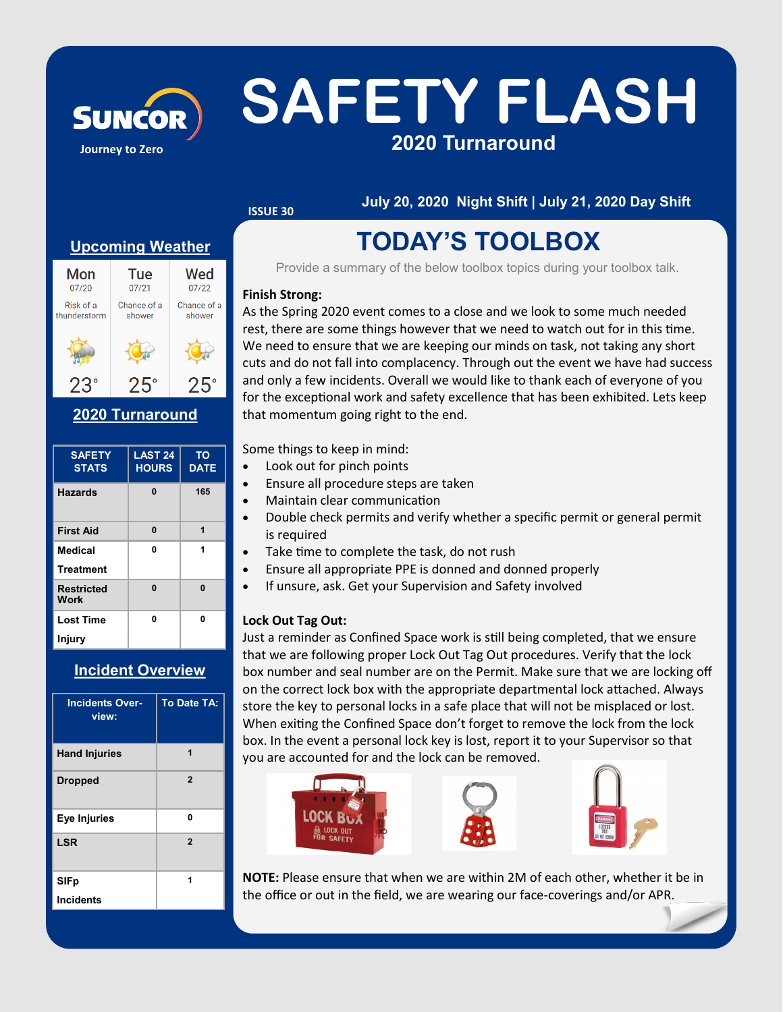# SUNCOR SAFETY FLASH **2020 Turnaround**

### **ISSUE 30**

#### **July 20, 2020 Night Shift | July 21, 2020 Day Shift**

#### **Upcoming Weather**

**Journey to Zero**



#### **2020 Turnaround**

| <b>SAFETY</b><br><b>STATS</b> | <b>LAST 24</b><br><b>HOURS</b> | <b>TO</b><br><b>DATE</b> |
|-------------------------------|--------------------------------|--------------------------|
| <b>Hazards</b>                | $\bf{0}$                       | 165                      |
| <b>First Aid</b>              | $\bf{0}$                       | 1                        |
| Medical                       | 0                              | 1                        |
| <b>Treatment</b>              |                                |                          |
| <b>Restricted</b><br>Work     | Û                              | $\mathbf{0}$             |
| <b>Lost Time</b>              | 0                              | 0                        |
| Injury                        |                                |                          |

#### **Incident Overview**

| <b>Incidents Over-</b><br>view: | <b>To Date TA:</b> |
|---------------------------------|--------------------|
| <b>Hand Injuries</b>            | 1                  |
| <b>Dropped</b>                  | $\overline{2}$     |
| Eye Injuries                    | Û                  |
| <b>LSR</b>                      | $\overline{2}$     |
| <b>SIFp</b>                     | 1                  |
| <b>Incidents</b>                |                    |

### **TODAY'S TOOLBOX**

Provide a summary of the below toolbox topics during your toolbox talk.

#### **Finish Strong:**

As the Spring 2020 event comes to a close and we look to some much needed rest, there are some things however that we need to watch out for in this time. We need to ensure that we are keeping our minds on task, not taking any short cuts and do not fall into complacency. Through out the event we have had success and only a few incidents. Overall we would like to thank each of everyone of you for the exceptional work and safety excellence that has been exhibited. Lets keep that momentum going right to the end.

Some things to keep in mind:

- Look out for pinch points
- Ensure all procedure steps are taken
- Maintain clear communication
- Double check permits and verify whether a specific permit or general permit is required
- Take time to complete the task, do not rush
- Ensure all appropriate PPE is donned and donned properly
- If unsure, ask. Get your Supervision and Safety involved

#### **Lock Out Tag Out:**

Just a reminder as Confined Space work is still being completed, that we ensure that we are following proper Lock Out Tag Out procedures. Verify that the lock box number and seal number are on the Permit. Make sure that we are locking off on the correct lock box with the appropriate departmental lock attached. Always store the key to personal locks in a safe place that will not be misplaced or lost. When exiting the Confined Space don't forget to remove the lock from the lock box. In the event a personal lock key is lost, report it to your Supervisor so that you are accounted for and the lock can be removed.



**NOTE:** Please ensure that when we are within 2M of each other, whether it be in the office or out in the field, we are wearing our face-coverings and/or APR.